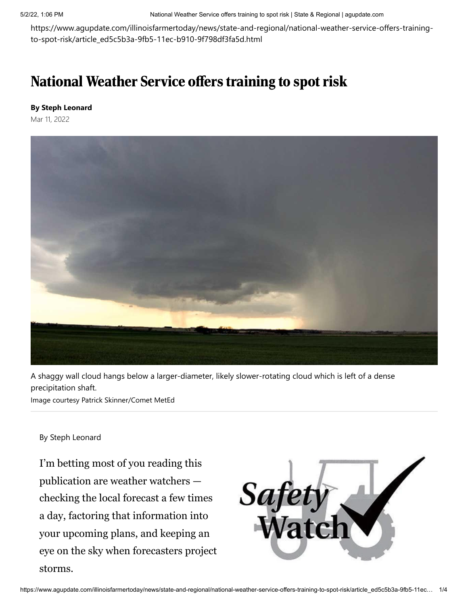https://www.agupdate.com/illinoisfarmertoday/news/state-and-regional/national-weather-service-offers-trainingto-spot-risk/article\_ed5c5b3a-9fb5-11ec-b910-9f798df3fa5d.html

## National Weather Service offers training to spot risk

## **By Steph Leonard**

Mar 11, 2022



A shaggy wall cloud hangs below a larger-diameter, likely slower-rotating cloud which is left of a dense precipitation shaft.

Image courtesy Patrick Skinner/Comet MetEd

## By Steph Leonard

I'm betting most of you reading this publication are weather watchers checking the local forecast a few times a day, factoring that information into your upcoming plans, and keeping an eye on the sky when forecasters project storms.

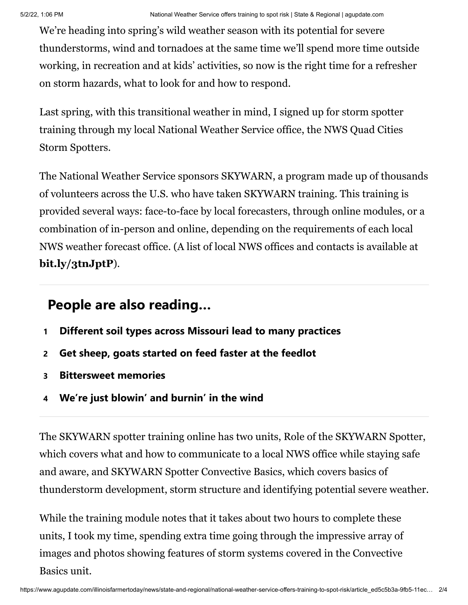We're heading into spring's wild weather season with its potential for severe thunderstorms, wind and tornadoes at the same time we'll spend more time outside working, in recreation and at kids' activities, so now is the right time for a refresher on storm hazards, what to look for and how to respond.

Last spring, with this transitional weather in mind, I signed up for storm spotter training through my local National Weather Service office, the NWS Quad Cities Storm Spotters.

The National Weather Service sponsors SKYWARN, a program made up of thousands of volunteers across the U.S. who have taken SKYWARN training. This training is provided several ways: face-to-face by local forecasters, through online modules, or a combination of in-person and online, depending on the requirements of each local NWS weather forecast office. (A list of local NWS offices and contacts is available at **[bit.ly/3tnJptP](http://bit.ly/3tnJptP)**).

## **People are also reading…**

- **1 [Different soil types across Missouri lead to many practices](https://www.agupdate.com/missourifarmertoday/news/crop/different-soil-types-across-missouri-lead-to-many-practices/article_1f47ece4-c672-11ec-ad71-7736b667b2d7.html#tracking-source=in-article-popular)**
- **2 [Get sheep, goats started on feed faster at the feedlot](https://www.agupdate.com/midwestmessenger/livestock/other/get-sheep-goats-started-on-feed-faster-at-the-feedlot/article_24dab07a-c0d6-11ec-a208-cbdb36de91da.html#tracking-source=in-article-popular)**
- **3 [Bittersweet memories](https://www.agupdate.com/community/bittersweet-memories/article_cfda82d4-c635-11ec-bb16-6f72035e6acb.html#tracking-source=in-article-popular)**
- **4 [We're just blowin' and burnin' in the wind](https://www.agupdate.com/midwestmessenger/opinion/columnists/barb_bierman_batie/we-re-just-blowin-and-burnin-in-the-wind/article_1375bc90-c4cc-11ec-85e7-c30cda1d3823.html#tracking-source=in-article-popular)**

The SKYWARN spotter training online has two units, Role of the SKYWARN Spotter, which covers what and how to communicate to a local NWS office while staying safe and aware, and SKYWARN Spotter Convective Basics, which covers basics of thunderstorm development, storm structure and identifying potential severe weather.

While the training module notes that it takes about two hours to complete these units, I took my time, spending extra time going through the impressive array of images and photos showing features of storm systems covered in the Convective Basics unit.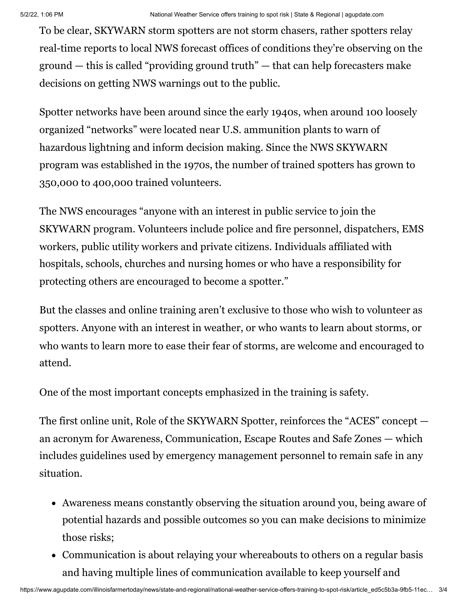To be clear, SKYWARN storm spotters are not storm chasers, rather spotters relay real-time reports to local NWS forecast offices of conditions they're observing on the ground — this is called "providing ground truth" — that can help forecasters make decisions on getting NWS warnings out to the public.

Spotter networks have been around since the early 1940s, when around 100 loosely organized "networks" were located near U.S. ammunition plants to warn of hazardous lightning and inform decision making. Since the NWS SKYWARN program was established in the 1970s, the number of trained spotters has grown to 350,000 to 400,000 trained volunteers.

The NWS encourages "anyone with an interest in public service to join the SKYWARN program. Volunteers include police and fire personnel, dispatchers, EMS workers, public utility workers and private citizens. Individuals affiliated with hospitals, schools, churches and nursing homes or who have a responsibility for protecting others are encouraged to become a spotter."

But the classes and online training aren't exclusive to those who wish to volunteer as spotters. Anyone with an interest in weather, or who wants to learn about storms, or who wants to learn more to ease their fear of storms, are welcome and encouraged to attend.

One of the most important concepts emphasized in the training is safety.

The first online unit, Role of the SKYWARN Spotter, reinforces the "ACES" concept an acronym for Awareness, Communication, Escape Routes and Safe Zones — which includes guidelines used by emergency management personnel to remain safe in any situation.

- Awareness means constantly observing the situation around you, being aware of potential hazards and possible outcomes so you can make decisions to minimize those risks;
- Communication is about relaying your whereabouts to others on a regular basis and having multiple lines of communication available to keep yourself and